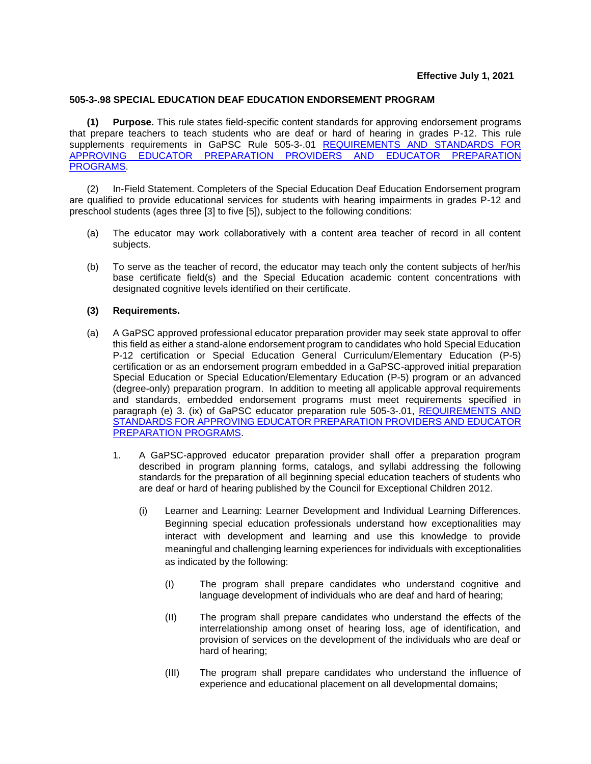## **505-3-.98 SPECIAL EDUCATION DEAF EDUCATION ENDORSEMENT PROGRAM**

**(1) Purpose.** This rule states field-specific content standards for approving endorsement programs that prepare teachers to teach students who are deaf or hard of hearing in grades P-12. This rule supplements requirements in GaPSC Rule 505-3-.01 [REQUIREMENTS AND STANDARDS FOR](https://www.gapsc.com/Rules/Current/EducatorPreparation/505-3-.01.pdf?dt=%3C%25#Eval()  [APPROVING EDUCATOR PREPARATION PROVIDERS](https://www.gapsc.com/Rules/Current/EducatorPreparation/505-3-.01.pdf?dt=%3C%25#Eval() AND EDUCATOR PREPARATION [PROGRAMS.](https://www.gapsc.com/Rules/Current/EducatorPreparation/505-3-.01.pdf?dt=%3C%25#Eval()

(2) In-Field Statement. Completers of the Special Education Deaf Education Endorsement program are qualified to provide educational services for students with hearing impairments in grades P-12 and preschool students (ages three [3] to five [5]), subject to the following conditions:

- (a) The educator may work collaboratively with a content area teacher of record in all content subjects.
- (b) To serve as the teacher of record, the educator may teach only the content subjects of her/his base certificate field(s) and the Special Education academic content concentrations with designated cognitive levels identified on their certificate.

## **(3) Requirements.**

- (a) A GaPSC approved professional educator preparation provider may seek state approval to offer this field as either a stand-alone endorsement program to candidates who hold Special Education P-12 certification or Special Education General Curriculum/Elementary Education (P-5) certification or as an endorsement program embedded in a GaPSC-approved initial preparation Special Education or Special Education/Elementary Education (P-5) program or an advanced (degree-only) preparation program. In addition to meeting all applicable approval requirements and standards, embedded endorsement programs must meet requirements specified in paragraph (e) 3. (ix) of GaPSC educator preparation rule 505-3-.01, [REQUIREMENTS AND](https://www.gapsc.com/Rules/Current/EducatorPreparation/505-3-.01.pdf?dt=%3C%25#Eval()  [STANDARDS FOR APPROVING EDUCATOR PREPARATION PROVIDERS AND EDUCATOR](https://www.gapsc.com/Rules/Current/EducatorPreparation/505-3-.01.pdf?dt=%3C%25#Eval()  [PREPARATION PROGRAMS.](https://www.gapsc.com/Rules/Current/EducatorPreparation/505-3-.01.pdf?dt=%3C%25#Eval()
	- 1. A GaPSC-approved educator preparation provider shall offer a preparation program described in program planning forms, catalogs, and syllabi addressing the following standards for the preparation of all beginning special education teachers of students who are deaf or hard of hearing published by the Council for Exceptional Children 2012.
		- (i) Learner and Learning: Learner Development and Individual Learning Differences. Beginning special education professionals understand how exceptionalities may interact with development and learning and use this knowledge to provide meaningful and challenging learning experiences for individuals with exceptionalities as indicated by the following:
			- (I) The program shall prepare candidates who understand cognitive and language development of individuals who are deaf and hard of hearing;
			- (II) The program shall prepare candidates who understand the effects of the interrelationship among onset of hearing loss, age of identification, and provision of services on the development of the individuals who are deaf or hard of hearing;
			- (III) The program shall prepare candidates who understand the influence of experience and educational placement on all developmental domains;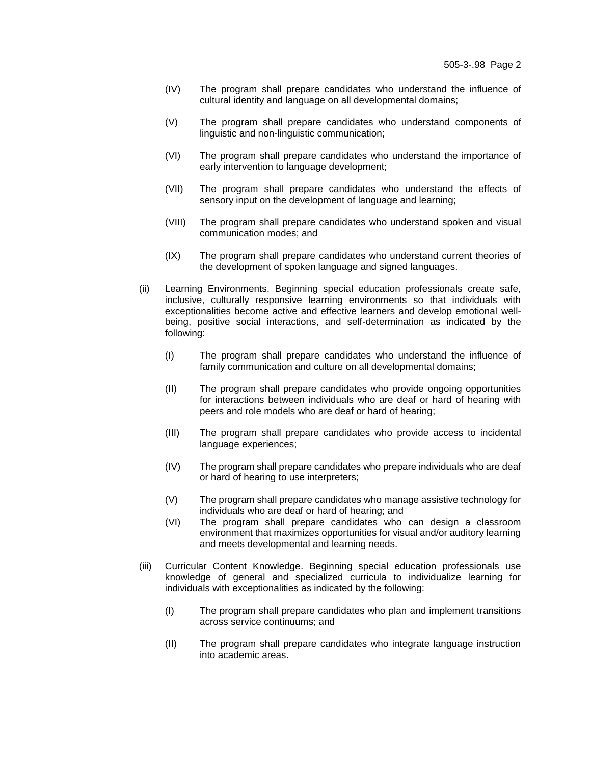- (IV) The program shall prepare candidates who understand the influence of cultural identity and language on all developmental domains;
- (V) The program shall prepare candidates who understand components of linguistic and non-linguistic communication;
- (VI) The program shall prepare candidates who understand the importance of early intervention to language development;
- (VII) The program shall prepare candidates who understand the effects of sensory input on the development of language and learning;
- (VIII) The program shall prepare candidates who understand spoken and visual communication modes; and
- (IX) The program shall prepare candidates who understand current theories of the development of spoken language and signed languages.
- (ii) Learning Environments. Beginning special education professionals create safe, inclusive, culturally responsive learning environments so that individuals with exceptionalities become active and effective learners and develop emotional wellbeing, positive social interactions, and self-determination as indicated by the following:
	- (I) The program shall prepare candidates who understand the influence of family communication and culture on all developmental domains;
	- (II) The program shall prepare candidates who provide ongoing opportunities for interactions between individuals who are deaf or hard of hearing with peers and role models who are deaf or hard of hearing;
	- (III) The program shall prepare candidates who provide access to incidental language experiences;
	- (IV) The program shall prepare candidates who prepare individuals who are deaf or hard of hearing to use interpreters;
	- (V) The program shall prepare candidates who manage assistive technology for individuals who are deaf or hard of hearing; and
	- (VI) The program shall prepare candidates who can design a classroom environment that maximizes opportunities for visual and/or auditory learning and meets developmental and learning needs.
- (iii) Curricular Content Knowledge. Beginning special education professionals use knowledge of general and specialized curricula to individualize learning for individuals with exceptionalities as indicated by the following:
	- (I) The program shall prepare candidates who plan and implement transitions across service continuums; and
	- (II) The program shall prepare candidates who integrate language instruction into academic areas.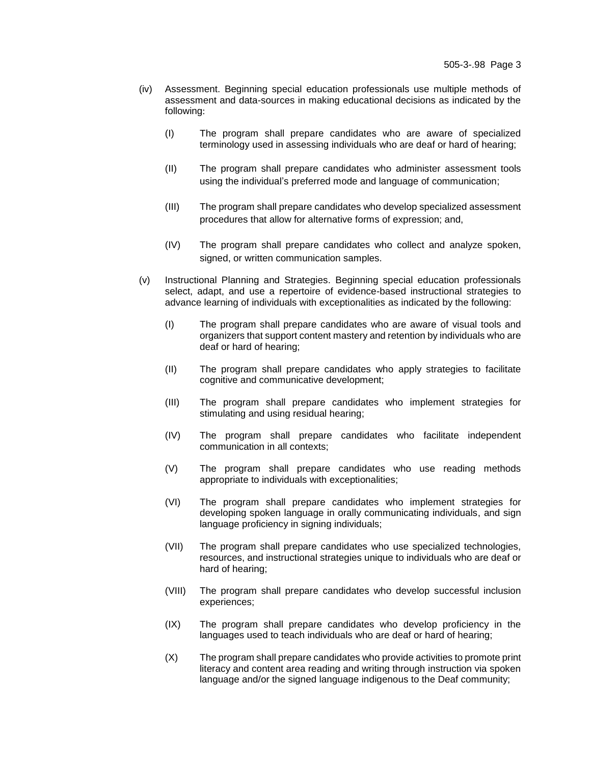- (iv) Assessment. Beginning special education professionals use multiple methods of assessment and data-sources in making educational decisions as indicated by the following:
	- (I) The program shall prepare candidates who are aware of specialized terminology used in assessing individuals who are deaf or hard of hearing;
	- (II) The program shall prepare candidates who administer assessment tools using the individual's preferred mode and language of communication;
	- (III) The program shall prepare candidates who develop specialized assessment procedures that allow for alternative forms of expression; and,
	- (IV) The program shall prepare candidates who collect and analyze spoken, signed, or written communication samples.
- (v) Instructional Planning and Strategies. Beginning special education professionals select, adapt, and use a repertoire of evidence-based instructional strategies to advance learning of individuals with exceptionalities as indicated by the following:
	- (I) The program shall prepare candidates who are aware of visual tools and organizers that support content mastery and retention by individuals who are deaf or hard of hearing;
	- (II) The program shall prepare candidates who apply strategies to facilitate cognitive and communicative development;
	- (III) The program shall prepare candidates who implement strategies for stimulating and using residual hearing;
	- (IV) The program shall prepare candidates who facilitate independent communication in all contexts;
	- (V) The program shall prepare candidates who use reading methods appropriate to individuals with exceptionalities;
	- (VI) The program shall prepare candidates who implement strategies for developing spoken language in orally communicating individuals, and sign language proficiency in signing individuals;
	- (VII) The program shall prepare candidates who use specialized technologies, resources, and instructional strategies unique to individuals who are deaf or hard of hearing;
	- (VIII) The program shall prepare candidates who develop successful inclusion experiences;
	- (IX) The program shall prepare candidates who develop proficiency in the languages used to teach individuals who are deaf or hard of hearing;
	- (X) The program shall prepare candidates who provide activities to promote print literacy and content area reading and writing through instruction via spoken language and/or the signed language indigenous to the Deaf community;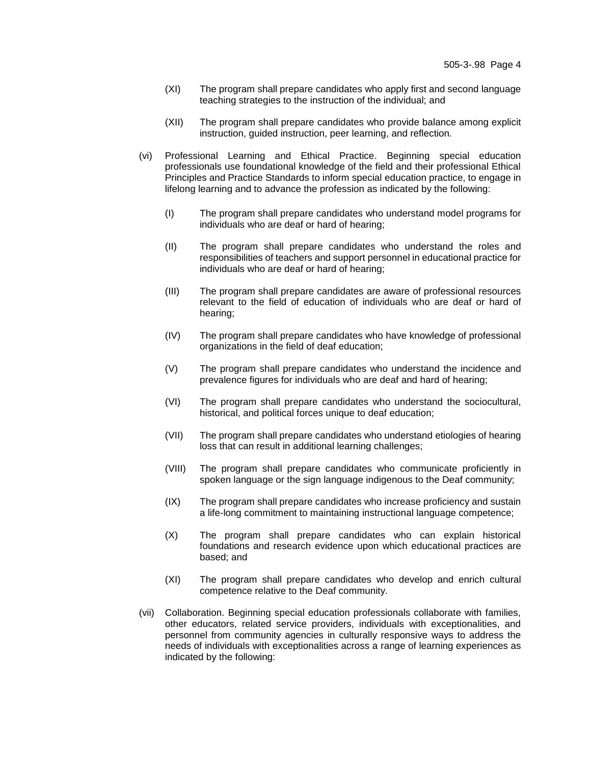- (XI) The program shall prepare candidates who apply first and second language teaching strategies to the instruction of the individual; and
- (XII) The program shall prepare candidates who provide balance among explicit instruction, guided instruction, peer learning, and reflection.
- (vi) Professional Learning and Ethical Practice. Beginning special education professionals use foundational knowledge of the field and their professional Ethical Principles and Practice Standards to inform special education practice, to engage in lifelong learning and to advance the profession as indicated by the following:
	- (I) The program shall prepare candidates who understand model programs for individuals who are deaf or hard of hearing;
	- (II) The program shall prepare candidates who understand the roles and responsibilities of teachers and support personnel in educational practice for individuals who are deaf or hard of hearing;
	- (III) The program shall prepare candidates are aware of professional resources relevant to the field of education of individuals who are deaf or hard of hearing;
	- (IV) The program shall prepare candidates who have knowledge of professional organizations in the field of deaf education;
	- (V) The program shall prepare candidates who understand the incidence and prevalence figures for individuals who are deaf and hard of hearing;
	- (VI) The program shall prepare candidates who understand the sociocultural, historical, and political forces unique to deaf education;
	- (VII) The program shall prepare candidates who understand etiologies of hearing loss that can result in additional learning challenges;
	- (VIII) The program shall prepare candidates who communicate proficiently in spoken language or the sign language indigenous to the Deaf community;
	- (IX) The program shall prepare candidates who increase proficiency and sustain a life-long commitment to maintaining instructional language competence;
	- (X) The program shall prepare candidates who can explain historical foundations and research evidence upon which educational practices are based; and
	- (XI) The program shall prepare candidates who develop and enrich cultural competence relative to the Deaf community.
- (vii) Collaboration. Beginning special education professionals collaborate with families, other educators, related service providers, individuals with exceptionalities, and personnel from community agencies in culturally responsive ways to address the needs of individuals with exceptionalities across a range of learning experiences as indicated by the following: